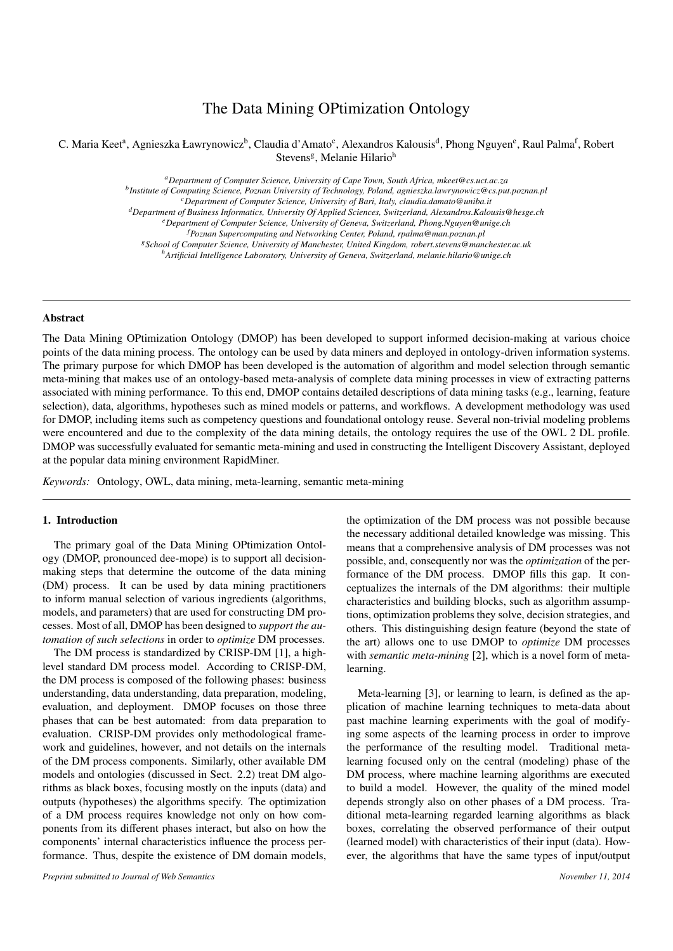# The Data Mining OPtimization Ontology

# C. Maria Keet<sup>a</sup>, Agnieszka Ławrynowicz<sup>b</sup>, Claudia d'Amato<sup>c</sup>, Alexandros Kalousis<sup>d</sup>, Phong Nguyen<sup>e</sup>, Raul Palma<sup>f</sup>, Robert Stevens<sup>g</sup>, Melanie Hilario<sup>h</sup>

*aDepartment of Computer Science, University of Cape Town, South Africa, mkeet@cs.uct.ac.za bInstitute of Computing Science, Poznan University of Technology, Poland, agnieszka.lawrynowicz@cs.put.poznan.pl cDepartment of Computer Science, University of Bari, Italy, claudia.damato@uniba.it dDepartment of Business Informatics, University Of Applied Sciences, Switzerland, Alexandros.Kalousis@hesge.ch*

*eDepartment of Computer Science, University of Geneva, Switzerland, Phong.Nguyen@unige.ch*

*f Poznan Supercomputing and Networking Center, Poland, rpalma@man.poznan.pl*

*gSchool of Computer Science, University of Manchester, United Kingdom, robert.stevens@manchester.ac.uk*

*hArtificial Intelligence Laboratory, University of Geneva, Switzerland, melanie.hilario@unige.ch*

## Abstract

The Data Mining OPtimization Ontology (DMOP) has been developed to support informed decision-making at various choice points of the data mining process. The ontology can be used by data miners and deployed in ontology-driven information systems. The primary purpose for which DMOP has been developed is the automation of algorithm and model selection through semantic meta-mining that makes use of an ontology-based meta-analysis of complete data mining processes in view of extracting patterns associated with mining performance. To this end, DMOP contains detailed descriptions of data mining tasks (e.g., learning, feature selection), data, algorithms, hypotheses such as mined models or patterns, and workflows. A development methodology was used for DMOP, including items such as competency questions and foundational ontology reuse. Several non-trivial modeling problems were encountered and due to the complexity of the data mining details, the ontology requires the use of the OWL 2 DL profile. DMOP was successfully evaluated for semantic meta-mining and used in constructing the Intelligent Discovery Assistant, deployed at the popular data mining environment RapidMiner.

*Keywords:* Ontology, OWL, data mining, meta-learning, semantic meta-mining

## 1. Introduction

The primary goal of the Data Mining OPtimization Ontology (DMOP, pronounced dee-mope) is to support all decisionmaking steps that determine the outcome of the data mining (DM) process. It can be used by data mining practitioners to inform manual selection of various ingredients (algorithms, models, and parameters) that are used for constructing DM processes. Most of all, DMOP has been designed to *support the automation of such selections* in order to *optimize* DM processes.

The DM process is standardized by CRISP-DM [1], a highlevel standard DM process model. According to CRISP-DM, the DM process is composed of the following phases: business understanding, data understanding, data preparation, modeling, evaluation, and deployment. DMOP focuses on those three phases that can be best automated: from data preparation to evaluation. CRISP-DM provides only methodological framework and guidelines, however, and not details on the internals of the DM process components. Similarly, other available DM models and ontologies (discussed in Sect. 2.2) treat DM algorithms as black boxes, focusing mostly on the inputs (data) and outputs (hypotheses) the algorithms specify. The optimization of a DM process requires knowledge not only on how components from its different phases interact, but also on how the components' internal characteristics influence the process performance. Thus, despite the existence of DM domain models,

the optimization of the DM process was not possible because the necessary additional detailed knowledge was missing. This means that a comprehensive analysis of DM processes was not possible, and, consequently nor was the *optimization* of the performance of the DM process. DMOP fills this gap. It conceptualizes the internals of the DM algorithms: their multiple characteristics and building blocks, such as algorithm assumptions, optimization problems they solve, decision strategies, and others. This distinguishing design feature (beyond the state of the art) allows one to use DMOP to *optimize* DM processes with *semantic meta-mining* [2], which is a novel form of metalearning.

Meta-learning [3], or learning to learn, is defined as the application of machine learning techniques to meta-data about past machine learning experiments with the goal of modifying some aspects of the learning process in order to improve the performance of the resulting model. Traditional metalearning focused only on the central (modeling) phase of the DM process, where machine learning algorithms are executed to build a model. However, the quality of the mined model depends strongly also on other phases of a DM process. Traditional meta-learning regarded learning algorithms as black boxes, correlating the observed performance of their output (learned model) with characteristics of their input (data). However, the algorithms that have the same types of input/output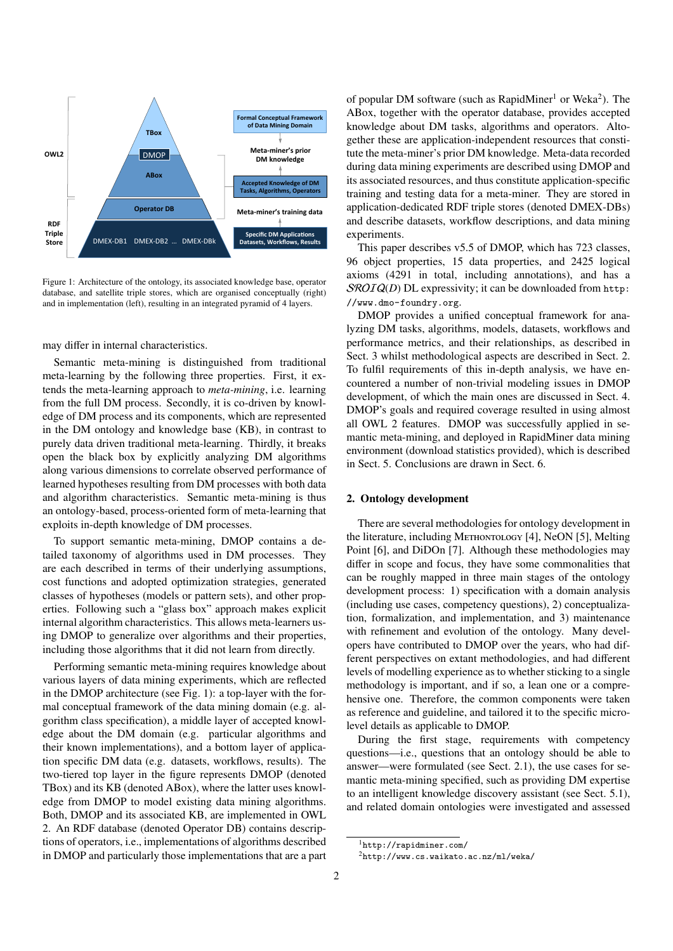

Figure 1: Architecture of the ontology, its associated knowledge base, operator database, and satellite triple stores, which are organised conceptually (right) and in implementation (left), resulting in an integrated pyramid of 4 layers.

may differ in internal characteristics.

Semantic meta-mining is distinguished from traditional meta-learning by the following three properties. First, it extends the meta-learning approach to *meta-mining*, i.e. learning from the full DM process. Secondly, it is co-driven by knowledge of DM process and its components, which are represented in the DM ontology and knowledge base (KB), in contrast to purely data driven traditional meta-learning. Thirdly, it breaks open the black box by explicitly analyzing DM algorithms along various dimensions to correlate observed performance of learned hypotheses resulting from DM processes with both data and algorithm characteristics. Semantic meta-mining is thus an ontology-based, process-oriented form of meta-learning that exploits in-depth knowledge of DM processes.

To support semantic meta-mining, DMOP contains a detailed taxonomy of algorithms used in DM processes. They are each described in terms of their underlying assumptions, cost functions and adopted optimization strategies, generated classes of hypotheses (models or pattern sets), and other properties. Following such a "glass box" approach makes explicit internal algorithm characteristics. This allows meta-learners using DMOP to generalize over algorithms and their properties, including those algorithms that it did not learn from directly.

Performing semantic meta-mining requires knowledge about various layers of data mining experiments, which are reflected in the DMOP architecture (see Fig. 1): a top-layer with the formal conceptual framework of the data mining domain (e.g. algorithm class specification), a middle layer of accepted knowledge about the DM domain (e.g. particular algorithms and their known implementations), and a bottom layer of application specific DM data (e.g. datasets, workflows, results). The two-tiered top layer in the figure represents DMOP (denoted TBox) and its KB (denoted ABox), where the latter uses knowledge from DMOP to model existing data mining algorithms. Both, DMOP and its associated KB, are implemented in OWL 2. An RDF database (denoted Operator DB) contains descriptions of operators, i.e., implementations of algorithms described in DMOP and particularly those implementations that are a part of popular DM software (such as RapidMiner<sup>1</sup> or Weka<sup>2</sup>). The ABox, together with the operator database, provides accepted knowledge about DM tasks, algorithms and operators. Altogether these are application-independent resources that constitute the meta-miner's prior DM knowledge. Meta-data recorded during data mining experiments are described using DMOP and its associated resources, and thus constitute application-specific training and testing data for a meta-miner. They are stored in application-dedicated RDF triple stores (denoted DMEX-DBs) and describe datasets, workflow descriptions, and data mining experiments.

This paper describes v5.5 of DMOP, which has 723 classes, 96 object properties, 15 data properties, and 2425 logical axioms (4291 in total, including annotations), and has a SROIQ(D) DL expressivity; it can be downloaded from http: //www.dmo-foundry.org.

DMOP provides a unified conceptual framework for analyzing DM tasks, algorithms, models, datasets, workflows and performance metrics, and their relationships, as described in Sect. 3 whilst methodological aspects are described in Sect. 2. To fulfil requirements of this in-depth analysis, we have encountered a number of non-trivial modeling issues in DMOP development, of which the main ones are discussed in Sect. 4. DMOP's goals and required coverage resulted in using almost all OWL 2 features. DMOP was successfully applied in semantic meta-mining, and deployed in RapidMiner data mining environment (download statistics provided), which is described in Sect. 5. Conclusions are drawn in Sect. 6.

## 2. Ontology development

There are several methodologies for ontology development in the literature, including МетномтоLОGY [4], NeON [5], Melting Point [6], and DiDOn [7]. Although these methodologies may differ in scope and focus, they have some commonalities that can be roughly mapped in three main stages of the ontology development process: 1) specification with a domain analysis (including use cases, competency questions), 2) conceptualization, formalization, and implementation, and 3) maintenance with refinement and evolution of the ontology. Many developers have contributed to DMOP over the years, who had different perspectives on extant methodologies, and had different levels of modelling experience as to whether sticking to a single methodology is important, and if so, a lean one or a comprehensive one. Therefore, the common components were taken as reference and guideline, and tailored it to the specific microlevel details as applicable to DMOP.

During the first stage, requirements with competency questions—i.e., questions that an ontology should be able to answer—were formulated (see Sect. 2.1), the use cases for semantic meta-mining specified, such as providing DM expertise to an intelligent knowledge discovery assistant (see Sect. 5.1), and related domain ontologies were investigated and assessed

<sup>1</sup>http://rapidminer.com/

<sup>2</sup>http://www.cs.waikato.ac.nz/ml/weka/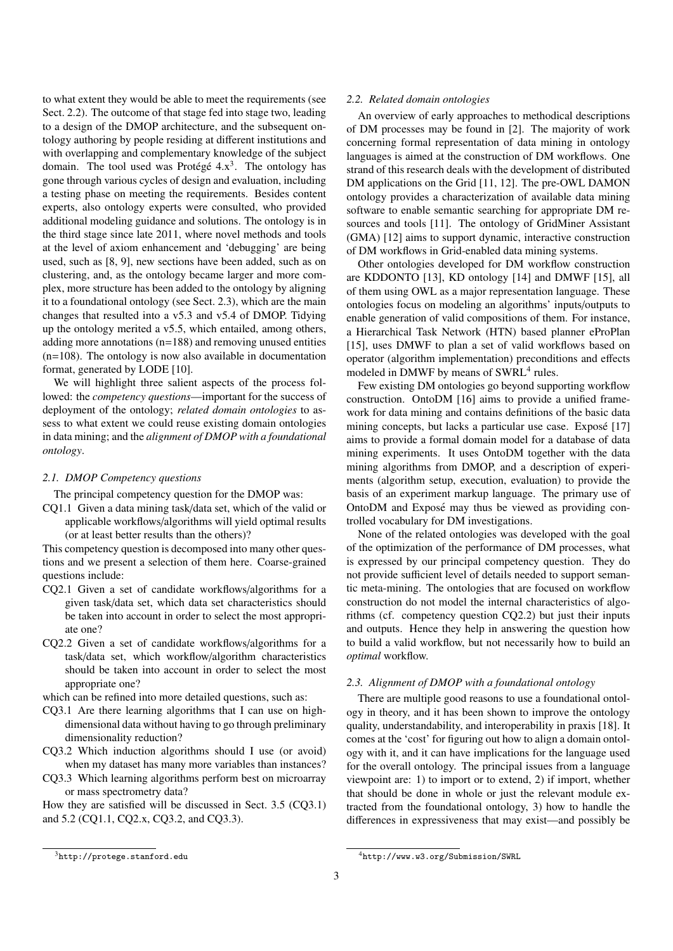to what extent they would be able to meet the requirements (see Sect. 2.2). The outcome of that stage fed into stage two, leading to a design of the DMOP architecture, and the subsequent ontology authoring by people residing at different institutions and with overlapping and complementary knowledge of the subject domain. The tool used was Protégé  $4.x^3$ . The ontology has gone through various cycles of design and evaluation, including a testing phase on meeting the requirements. Besides content experts, also ontology experts were consulted, who provided additional modeling guidance and solutions. The ontology is in the third stage since late 2011, where novel methods and tools at the level of axiom enhancement and 'debugging' are being used, such as [8, 9], new sections have been added, such as on clustering, and, as the ontology became larger and more complex, more structure has been added to the ontology by aligning it to a foundational ontology (see Sect. 2.3), which are the main changes that resulted into a v5.3 and v5.4 of DMOP. Tidying up the ontology merited a v5.5, which entailed, among others, adding more annotations (n=188) and removing unused entities  $(n=108)$ . The ontology is now also available in documentation format, generated by LODE [10].

We will highlight three salient aspects of the process followed: the *competency questions*—important for the success of deployment of the ontology; *related domain ontologies* to assess to what extent we could reuse existing domain ontologies in data mining; and the *alignment of DMOP with a foundational ontology*.

## *2.1. DMOP Competency questions*

The principal competency question for the DMOP was:

CQ1.1 Given a data mining task/data set, which of the valid or applicable workflows/algorithms will yield optimal results (or at least better results than the others)?

This competency question is decomposed into many other questions and we present a selection of them here. Coarse-grained questions include:

- CQ2.1 Given a set of candidate workflows/algorithms for a given task/data set, which data set characteristics should be taken into account in order to select the most appropriate one?
- CQ2.2 Given a set of candidate workflows/algorithms for a task/data set, which workflow/algorithm characteristics should be taken into account in order to select the most appropriate one?

which can be refined into more detailed questions, such as:

- CQ3.1 Are there learning algorithms that I can use on highdimensional data without having to go through preliminary dimensionality reduction?
- CQ3.2 Which induction algorithms should I use (or avoid) when my dataset has many more variables than instances?
- CQ3.3 Which learning algorithms perform best on microarray or mass spectrometry data?

How they are satisfied will be discussed in Sect. 3.5 (CQ3.1) and 5.2 (CQ1.1, CQ2.x, CQ3.2, and CQ3.3).

#### *2.2. Related domain ontologies*

An overview of early approaches to methodical descriptions of DM processes may be found in [2]. The majority of work concerning formal representation of data mining in ontology languages is aimed at the construction of DM workflows. One strand of this research deals with the development of distributed DM applications on the Grid [11, 12]. The pre-OWL DAMON ontology provides a characterization of available data mining software to enable semantic searching for appropriate DM resources and tools [11]. The ontology of GridMiner Assistant (GMA) [12] aims to support dynamic, interactive construction of DM workflows in Grid-enabled data mining systems.

Other ontologies developed for DM workflow construction are KDDONTO [13], KD ontology [14] and DMWF [15], all of them using OWL as a major representation language. These ontologies focus on modeling an algorithms' inputs/outputs to enable generation of valid compositions of them. For instance, a Hierarchical Task Network (HTN) based planner eProPlan [15], uses DMWF to plan a set of valid workflows based on operator (algorithm implementation) preconditions and effects modeled in DMWF by means of SWRL<sup>4</sup> rules.

Few existing DM ontologies go beyond supporting workflow construction. OntoDM [16] aims to provide a unified framework for data mining and contains definitions of the basic data mining concepts, but lacks a particular use case. Exposé [17] aims to provide a formal domain model for a database of data mining experiments. It uses OntoDM together with the data mining algorithms from DMOP, and a description of experiments (algorithm setup, execution, evaluation) to provide the basis of an experiment markup language. The primary use of OntoDM and Exposé may thus be viewed as providing controlled vocabulary for DM investigations.

None of the related ontologies was developed with the goal of the optimization of the performance of DM processes, what is expressed by our principal competency question. They do not provide sufficient level of details needed to support semantic meta-mining. The ontologies that are focused on workflow construction do not model the internal characteristics of algorithms (cf. competency question CQ2.2) but just their inputs and outputs. Hence they help in answering the question how to build a valid workflow, but not necessarily how to build an *optimal* workflow.

# *2.3. Alignment of DMOP with a foundational ontology*

There are multiple good reasons to use a foundational ontology in theory, and it has been shown to improve the ontology quality, understandability, and interoperability in praxis [18]. It comes at the 'cost' for figuring out how to align a domain ontology with it, and it can have implications for the language used for the overall ontology. The principal issues from a language viewpoint are: 1) to import or to extend, 2) if import, whether that should be done in whole or just the relevant module extracted from the foundational ontology, 3) how to handle the differences in expressiveness that may exist—and possibly be

<sup>3</sup>http://protege.stanford.edu

<sup>4</sup>http://www.w3.org/Submission/SWRL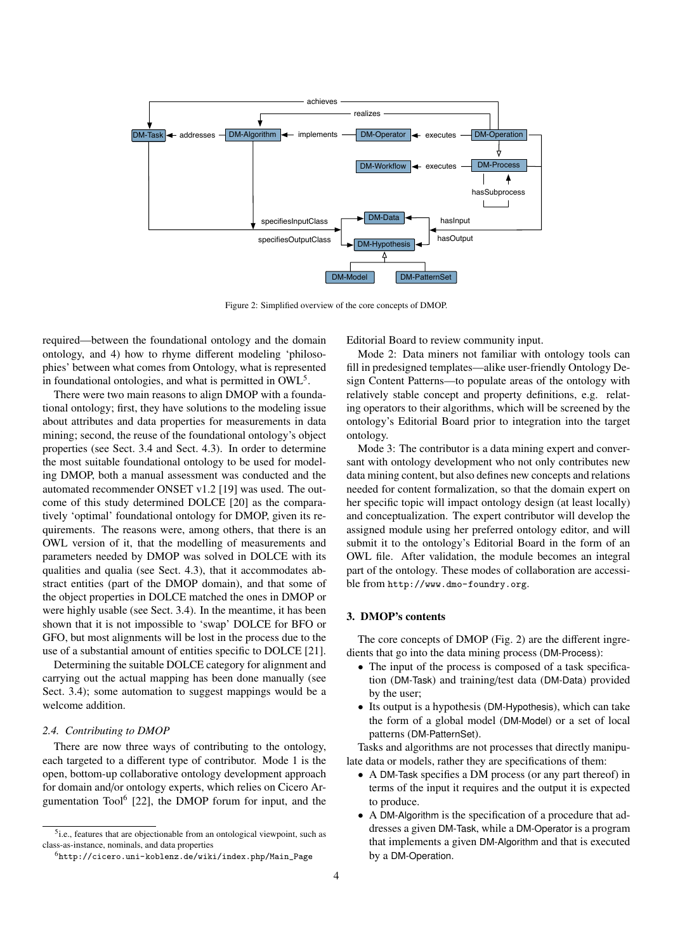

Figure 2: Simplified overview of the core concepts of DMOP.

required—between the foundational ontology and the domain ontology, and 4) how to rhyme different modeling 'philosophies' between what comes from Ontology, what is represented in foundational ontologies, and what is permitted in OWL<sup>5</sup>.

There were two main reasons to align DMOP with a foundational ontology; first, they have solutions to the modeling issue about attributes and data properties for measurements in data mining; second, the reuse of the foundational ontology's object properties (see Sect. 3.4 and Sect. 4.3). In order to determine the most suitable foundational ontology to be used for modeling DMOP, both a manual assessment was conducted and the automated recommender ONSET v1.2 [19] was used. The outcome of this study determined DOLCE [20] as the comparatively 'optimal' foundational ontology for DMOP, given its requirements. The reasons were, among others, that there is an OWL version of it, that the modelling of measurements and parameters needed by DMOP was solved in DOLCE with its qualities and qualia (see Sect. 4.3), that it accommodates abstract entities (part of the DMOP domain), and that some of the object properties in DOLCE matched the ones in DMOP or were highly usable (see Sect. 3.4). In the meantime, it has been shown that it is not impossible to 'swap' DOLCE for BFO or GFO, but most alignments will be lost in the process due to the use of a substantial amount of entities specific to DOLCE [21].

Determining the suitable DOLCE category for alignment and carrying out the actual mapping has been done manually (see Sect. 3.4); some automation to suggest mappings would be a welcome addition.

## *2.4. Contributing to DMOP*

There are now three ways of contributing to the ontology, each targeted to a different type of contributor. Mode 1 is the open, bottom-up collaborative ontology development approach for domain and/or ontology experts, which relies on Cicero Argumentation Tool $<sup>6</sup>$  [22], the DMOP forum for input, and the</sup>

Editorial Board to review community input.

Mode 2: Data miners not familiar with ontology tools can fill in predesigned templates—alike user-friendly Ontology Design Content Patterns—to populate areas of the ontology with relatively stable concept and property definitions, e.g. relating operators to their algorithms, which will be screened by the ontology's Editorial Board prior to integration into the target ontology.

Mode 3: The contributor is a data mining expert and conversant with ontology development who not only contributes new data mining content, but also defines new concepts and relations needed for content formalization, so that the domain expert on her specific topic will impact ontology design (at least locally) and conceptualization. The expert contributor will develop the assigned module using her preferred ontology editor, and will submit it to the ontology's Editorial Board in the form of an OWL file. After validation, the module becomes an integral part of the ontology. These modes of collaboration are accessible from http://www.dmo-foundry.org.

## 3. DMOP's contents

The core concepts of DMOP (Fig. 2) are the different ingredients that go into the data mining process (DM-Process):

- The input of the process is composed of a task specification (DM-Task) and training/test data (DM-Data) provided by the user;
- Its output is a hypothesis (DM-Hypothesis), which can take the form of a global model (DM-Model) or a set of local patterns (DM-PatternSet).

Tasks and algorithms are not processes that directly manipulate data or models, rather they are specifications of them:

- A DM-Task specifies a DM process (or any part thereof) in terms of the input it requires and the output it is expected to produce.
- A DM-Algorithm is the specification of a procedure that addresses a given DM-Task, while a DM-Operator is a program that implements a given DM-Algorithm and that is executed by a DM-Operation.

<sup>5</sup>i.e., features that are objectionable from an ontological viewpoint, such as class-as-instance, nominals, and data properties

<sup>6</sup>http://cicero.uni-koblenz.de/wiki/index.php/Main\_Page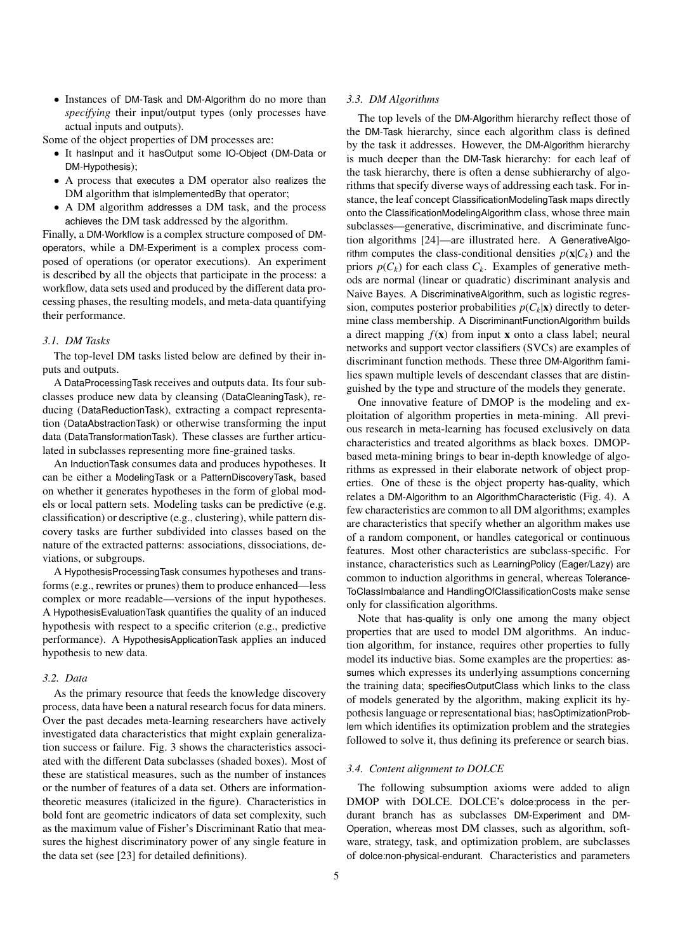• Instances of DM-Task and DM-Algorithm do no more than *specifying* their input/output types (only processes have actual inputs and outputs).

Some of the object properties of DM processes are:

- It hasInput and it hasOutput some IO-Object (DM-Data or DM-Hypothesis);
- A process that executes a DM operator also realizes the DM algorithm that is mplemented By that operator:
- A DM algorithm addresses a DM task, and the process achieves the DM task addressed by the algorithm.

Finally, a DM-Workflow is a complex structure composed of DMoperators, while a DM-Experiment is a complex process composed of operations (or operator executions). An experiment is described by all the objects that participate in the process: a workflow, data sets used and produced by the different data processing phases, the resulting models, and meta-data quantifying their performance.

# *3.1. DM Tasks*

The top-level DM tasks listed below are defined by their inputs and outputs.

A DataProcessingTask receives and outputs data. Its four subclasses produce new data by cleansing (DataCleaningTask), reducing (DataReductionTask), extracting a compact representation (DataAbstractionTask) or otherwise transforming the input data (DataTransformationTask). These classes are further articulated in subclasses representing more fine-grained tasks.

An InductionTask consumes data and produces hypotheses. It can be either a ModelingTask or a PatternDiscoveryTask, based on whether it generates hypotheses in the form of global models or local pattern sets. Modeling tasks can be predictive (e.g. classification) or descriptive (e.g., clustering), while pattern discovery tasks are further subdivided into classes based on the nature of the extracted patterns: associations, dissociations, deviations, or subgroups.

A HypothesisProcessingTask consumes hypotheses and transforms (e.g., rewrites or prunes) them to produce enhanced—less complex or more readable—versions of the input hypotheses. A HypothesisEvaluationTask quantifies the quality of an induced hypothesis with respect to a specific criterion (e.g., predictive performance). A HypothesisApplicationTask applies an induced hypothesis to new data.

## *3.2. Data*

As the primary resource that feeds the knowledge discovery process, data have been a natural research focus for data miners. Over the past decades meta-learning researchers have actively investigated data characteristics that might explain generalization success or failure. Fig. 3 shows the characteristics associated with the different Data subclasses (shaded boxes). Most of these are statistical measures, such as the number of instances or the number of features of a data set. Others are informationtheoretic measures (italicized in the figure). Characteristics in bold font are geometric indicators of data set complexity, such as the maximum value of Fisher's Discriminant Ratio that measures the highest discriminatory power of any single feature in the data set (see [23] for detailed definitions).

#### *3.3. DM Algorithms*

The top levels of the DM-Algorithm hierarchy reflect those of the DM-Task hierarchy, since each algorithm class is defined by the task it addresses. However, the DM-Algorithm hierarchy is much deeper than the DM-Task hierarchy: for each leaf of the task hierarchy, there is often a dense subhierarchy of algorithms that specify diverse ways of addressing each task. For instance, the leaf concept ClassificationModelingTask maps directly onto the ClassificationModelingAlgorithm class, whose three main subclasses—generative, discriminative, and discriminate function algorithms [24]—are illustrated here. A GenerativeAlgorithm computes the class-conditional densities  $p(\mathbf{x}|C_k)$  and the priors  $p(C_k)$  for each class  $C_k$ . Examples of generative methods are normal (linear or quadratic) discriminant analysis and Naive Bayes. A DiscriminativeAlgorithm, such as logistic regression, computes posterior probabilities  $p(C_k|\mathbf{x})$  directly to determine class membership. A DiscriminantFunctionAlgorithm builds a direct mapping  $f(x)$  from input x onto a class label; neural networks and support vector classifiers (SVCs) are examples of discriminant function methods. These three DM-Algorithm families spawn multiple levels of descendant classes that are distinguished by the type and structure of the models they generate.

One innovative feature of DMOP is the modeling and exploitation of algorithm properties in meta-mining. All previous research in meta-learning has focused exclusively on data characteristics and treated algorithms as black boxes. DMOPbased meta-mining brings to bear in-depth knowledge of algorithms as expressed in their elaborate network of object properties. One of these is the object property has-quality, which relates a DM-Algorithm to an AlgorithmCharacteristic (Fig. 4). A few characteristics are common to all DM algorithms; examples are characteristics that specify whether an algorithm makes use of a random component, or handles categorical or continuous features. Most other characteristics are subclass-specific. For instance, characteristics such as LearningPolicy (Eager/Lazy) are common to induction algorithms in general, whereas Tolerance-ToClassImbalance and HandlingOfClassificationCosts make sense only for classification algorithms.

Note that has-quality is only one among the many object properties that are used to model DM algorithms. An induction algorithm, for instance, requires other properties to fully model its inductive bias. Some examples are the properties: assumes which expresses its underlying assumptions concerning the training data; specifiesOutputClass which links to the class of models generated by the algorithm, making explicit its hypothesis language or representational bias; hasOptimizationProblem which identifies its optimization problem and the strategies followed to solve it, thus defining its preference or search bias.

## *3.4. Content alignment to DOLCE*

The following subsumption axioms were added to align DMOP with DOLCE. DOLCE's dolce:process in the perdurant branch has as subclasses DM-Experiment and DM-Operation, whereas most DM classes, such as algorithm, software, strategy, task, and optimization problem, are subclasses of dolce:non-physical-endurant. Characteristics and parameters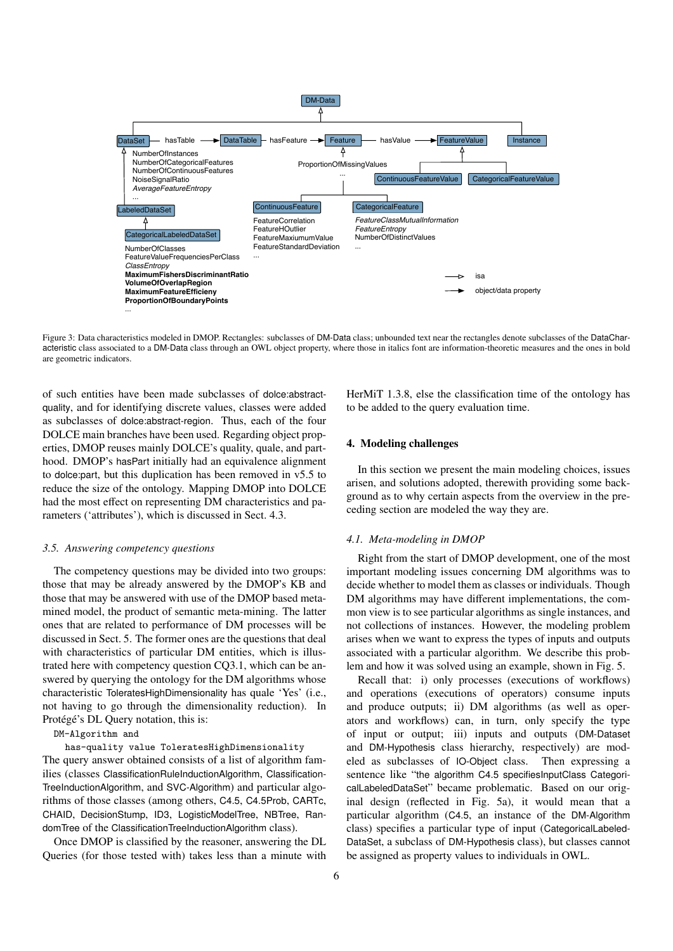

Figure 3: Data characteristics modeled in DMOP. Rectangles: subclasses of DM-Data class; unbounded text near the rectangles denote subclasses of the DataCharacteristic class associated to a DM-Data class through an OWL object property, where those in italics font are information-theoretic measures and the ones in bold are geometric indicators.

of such entities have been made subclasses of dolce:abstractquality, and for identifying discrete values, classes were added as subclasses of dolce:abstract-region. Thus, each of the four DOLCE main branches have been used. Regarding object properties, DMOP reuses mainly DOLCE's quality, quale, and parthood. DMOP's hasPart initially had an equivalence alignment to dolce:part, but this duplication has been removed in v5.5 to reduce the size of the ontology. Mapping DMOP into DOLCE had the most effect on representing DM characteristics and parameters ('attributes'), which is discussed in Sect. 4.3.

### *3.5. Answering competency questions*

The competency questions may be divided into two groups: those that may be already answered by the DMOP's KB and those that may be answered with use of the DMOP based metamined model, the product of semantic meta-mining. The latter ones that are related to performance of DM processes will be discussed in Sect. 5. The former ones are the questions that deal with characteristics of particular DM entities, which is illustrated here with competency question CQ3.1, which can be answered by querying the ontology for the DM algorithms whose characteristic ToleratesHighDimensionality has quale 'Yes' (i.e., not having to go through the dimensionality reduction). In Protégé's DL Query notation, this is:

DM-Algorithm and

has-quality value ToleratesHighDimensionality The query answer obtained consists of a list of algorithm families (classes ClassificationRuleInductionAlgorithm, Classification-TreeInductionAlgorithm, and SVC-Algorithm) and particular algorithms of those classes (among others, C4.5, C4.5Prob, CARTc, CHAID, DecisionStump, ID3, LogisticModelTree, NBTree, RandomTree of the ClassificationTreeInductionAlgorithm class).

Once DMOP is classified by the reasoner, answering the DL Queries (for those tested with) takes less than a minute with HerMiT 1.3.8, else the classification time of the ontology has to be added to the query evaluation time.

## 4. Modeling challenges

In this section we present the main modeling choices, issues arisen, and solutions adopted, therewith providing some background as to why certain aspects from the overview in the preceding section are modeled the way they are.

## *4.1. Meta-modeling in DMOP*

Right from the start of DMOP development, one of the most important modeling issues concerning DM algorithms was to decide whether to model them as classes or individuals. Though DM algorithms may have different implementations, the common view is to see particular algorithms as single instances, and not collections of instances. However, the modeling problem arises when we want to express the types of inputs and outputs associated with a particular algorithm. We describe this problem and how it was solved using an example, shown in Fig. 5.

Recall that: i) only processes (executions of workflows) and operations (executions of operators) consume inputs and produce outputs; ii) DM algorithms (as well as operators and workflows) can, in turn, only specify the type of input or output; iii) inputs and outputs (DM-Dataset and DM-Hypothesis class hierarchy, respectively) are modeled as subclasses of IO-Object class. Then expressing a sentence like "the algorithm C4.5 specifiesInputClass CategoricalLabeledDataSet" became problematic. Based on our original design (reflected in Fig. 5a), it would mean that a particular algorithm (C4.5, an instance of the DM-Algorithm class) specifies a particular type of input (CategoricalLabeled-DataSet, a subclass of DM-Hypothesis class), but classes cannot be assigned as property values to individuals in OWL.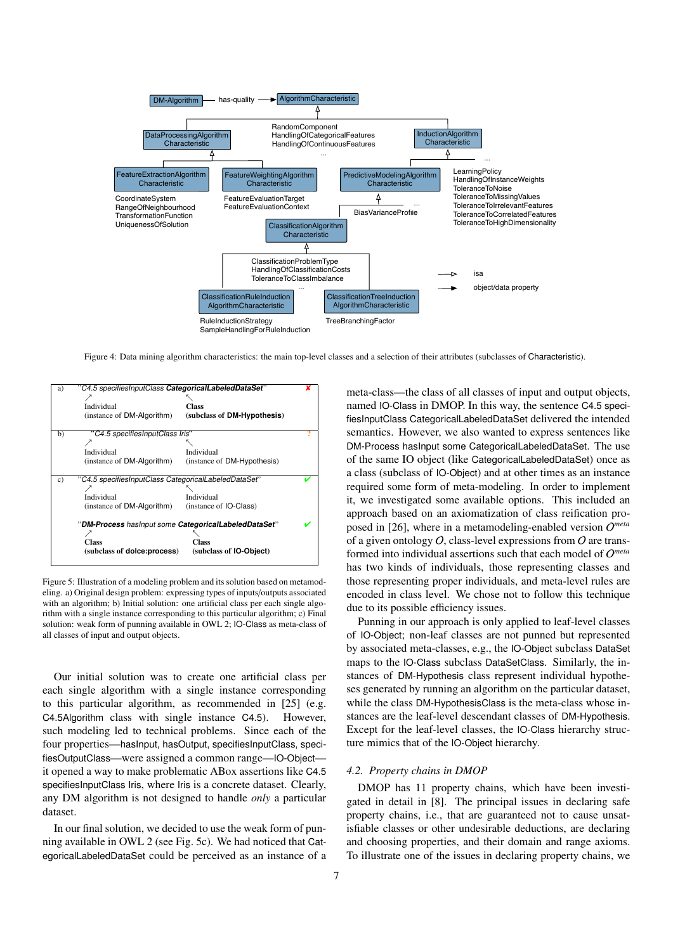

Figure 4: Data mining algorithm characteristics: the main top-level classes and a selection of their attributes (subclasses of Characteristic).



Figure 5: Illustration of a modeling problem and its solution based on metamodeling. a) Original design problem: expressing types of inputs/outputs associated with an algorithm; b) Initial solution: one artificial class per each single algorithm with a single instance corresponding to this particular algorithm; c) Final solution: weak form of punning available in OWL 2; IO-Class as meta-class of all classes of input and output objects.

Our initial solution was to create one artificial class per each single algorithm with a single instance corresponding to this particular algorithm, as recommended in [25] (e.g. C4.5Algorithm class with single instance C4.5). However, such modeling led to technical problems. Since each of the four properties—hasInput, hasOutput, specifiesInputClass, specifiesOutputClass—were assigned a common range—IO-Object it opened a way to make problematic ABox assertions like C4.5 specifiesInputClass Iris, where Iris is a concrete dataset. Clearly, any DM algorithm is not designed to handle *only* a particular dataset.

In our final solution, we decided to use the weak form of punning available in OWL 2 (see Fig. 5c). We had noticed that CategoricalLabeledDataSet could be perceived as an instance of a

meta-class—the class of all classes of input and output objects, named IO-Class in DMOP. In this way, the sentence C4.5 specifiesInputClass CategoricalLabeledDataSet delivered the intended semantics. However, we also wanted to express sentences like DM-Process hasInput some CategoricalLabeledDataSet. The use of the same IO object (like CategoricalLabeledDataSet) once as a class (subclass of IO-Object) and at other times as an instance required some form of meta-modeling. In order to implement it, we investigated some available options. This included an approach based on an axiomatization of class reification proposed in [26], where in a metamodeling-enabled version O*meta* of a given ontology O, class-level expressions from O are transformed into individual assertions such that each model of O*meta* has two kinds of individuals, those representing classes and those representing proper individuals, and meta-level rules are encoded in class level. We chose not to follow this technique due to its possible efficiency issues.

Punning in our approach is only applied to leaf-level classes of IO-Object; non-leaf classes are not punned but represented by associated meta-classes, e.g., the IO-Object subclass DataSet maps to the IO-Class subclass DataSetClass. Similarly, the instances of DM-Hypothesis class represent individual hypotheses generated by running an algorithm on the particular dataset, while the class DM-HypothesisClass is the meta-class whose instances are the leaf-level descendant classes of DM-Hypothesis. Except for the leaf-level classes, the IO-Class hierarchy structure mimics that of the IO-Object hierarchy.

## *4.2. Property chains in DMOP*

DMOP has 11 property chains, which have been investigated in detail in [8]. The principal issues in declaring safe property chains, i.e., that are guaranteed not to cause unsatisfiable classes or other undesirable deductions, are declaring and choosing properties, and their domain and range axioms. To illustrate one of the issues in declaring property chains, we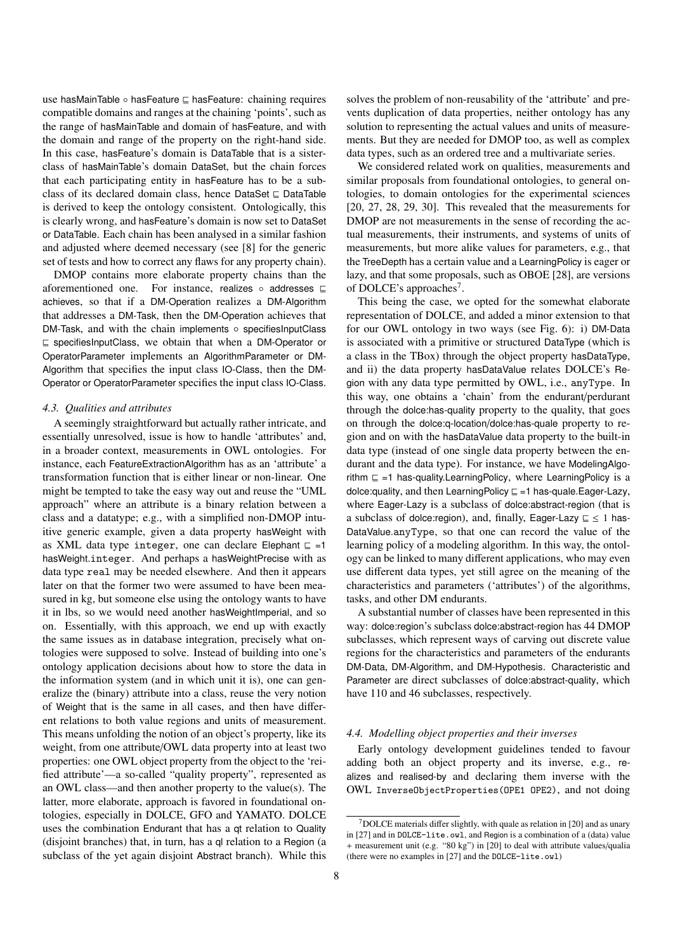use hasMainTable  $\circ$  hasFeature  $\sqsubseteq$  hasFeature: chaining requires compatible domains and ranges at the chaining 'points', such as the range of hasMainTable and domain of hasFeature, and with the domain and range of the property on the right-hand side. In this case, hasFeature's domain is DataTable that is a sisterclass of hasMainTable's domain DataSet, but the chain forces that each participating entity in hasFeature has to be a subclass of its declared domain class, hence DataSet  $\Box$  DataTable is derived to keep the ontology consistent. Ontologically, this is clearly wrong, and hasFeature's domain is now set to DataSet or DataTable. Each chain has been analysed in a similar fashion and adjusted where deemed necessary (see [8] for the generic set of tests and how to correct any flaws for any property chain).

DMOP contains more elaborate property chains than the aforementioned one. For instance, realizes  $\circ$  addresses  $\sqsubseteq$ achieves, so that if a DM-Operation realizes a DM-Algorithm that addresses a DM-Task, then the DM-Operation achieves that DM-Task, and with the chain implements  $\circ$  specifiesInputClass  $\subseteq$  specifiesInputClass, we obtain that when a DM-Operator or OperatorParameter implements an AlgorithmParameter or DM-Algorithm that specifies the input class IO-Class, then the DM-Operator or OperatorParameter specifies the input class IO-Class.

#### *4.3. Qualities and attributes*

A seemingly straightforward but actually rather intricate, and essentially unresolved, issue is how to handle 'attributes' and, in a broader context, measurements in OWL ontologies. For instance, each FeatureExtractionAlgorithm has as an 'attribute' a transformation function that is either linear or non-linear. One might be tempted to take the easy way out and reuse the "UML approach" where an attribute is a binary relation between a class and a datatype; e.g., with a simplified non-DMOP intuitive generic example, given a data property hasWeight with as XML data type integer, one can declare Elephant  $\sqsubseteq$  =1 hasWeight.integer. And perhaps a hasWeightPrecise with as data type real may be needed elsewhere. And then it appears later on that the former two were assumed to have been measured in kg, but someone else using the ontology wants to have it in lbs, so we would need another hasWeightImperial, and so on. Essentially, with this approach, we end up with exactly the same issues as in database integration, precisely what ontologies were supposed to solve. Instead of building into one's ontology application decisions about how to store the data in the information system (and in which unit it is), one can generalize the (binary) attribute into a class, reuse the very notion of Weight that is the same in all cases, and then have different relations to both value regions and units of measurement. This means unfolding the notion of an object's property, like its weight, from one attribute/OWL data property into at least two properties: one OWL object property from the object to the 'reified attribute'—a so-called "quality property", represented as an OWL class—and then another property to the value(s). The latter, more elaborate, approach is favored in foundational ontologies, especially in DOLCE, GFO and YAMATO. DOLCE uses the combination Endurant that has a qt relation to Quality (disjoint branches) that, in turn, has a ql relation to a Region (a subclass of the yet again disjoint Abstract branch). While this

solves the problem of non-reusability of the 'attribute' and prevents duplication of data properties, neither ontology has any solution to representing the actual values and units of measurements. But they are needed for DMOP too, as well as complex data types, such as an ordered tree and a multivariate series.

We considered related work on qualities, measurements and similar proposals from foundational ontologies, to general ontologies, to domain ontologies for the experimental sciences [20, 27, 28, 29, 30]. This revealed that the measurements for DMOP are not measurements in the sense of recording the actual measurements, their instruments, and systems of units of measurements, but more alike values for parameters, e.g., that the TreeDepth has a certain value and a LearningPolicy is eager or lazy, and that some proposals, such as OBOE [28], are versions of DOLCE's approaches<sup>7</sup>.

This being the case, we opted for the somewhat elaborate representation of DOLCE, and added a minor extension to that for our OWL ontology in two ways (see Fig. 6): i) DM-Data is associated with a primitive or structured DataType (which is a class in the TBox) through the object property hasDataType, and ii) the data property hasDataValue relates DOLCE's Region with any data type permitted by OWL, i.e., anyType. In this way, one obtains a 'chain' from the endurant/perdurant through the dolce:has-quality property to the quality, that goes on through the dolce:q-location/dolce:has-quale property to region and on with the hasDataValue data property to the built-in data type (instead of one single data property between the endurant and the data type). For instance, we have ModelingAlgorithm  $\subseteq$  =1 has-quality.LearningPolicy, where LearningPolicy is a dolce:quality, and then LearningPolicy  $\sqsubseteq$  =1 has-quale.Eager-Lazy, where Eager-Lazy is a subclass of dolce:abstract-region (that is a subclass of dolce: region), and, finally, Eager-Lazy  $\subseteq$   $\leq$  1 has-DataValue.anyType, so that one can record the value of the learning policy of a modeling algorithm. In this way, the ontology can be linked to many different applications, who may even use different data types, yet still agree on the meaning of the characteristics and parameters ('attributes') of the algorithms, tasks, and other DM endurants.

A substantial number of classes have been represented in this way: dolce:region's subclass dolce:abstract-region has 44 DMOP subclasses, which represent ways of carving out discrete value regions for the characteristics and parameters of the endurants DM-Data, DM-Algorithm, and DM-Hypothesis. Characteristic and Parameter are direct subclasses of dolce:abstract-quality, which have 110 and 46 subclasses, respectively.

# *4.4. Modelling object properties and their inverses*

Early ontology development guidelines tended to favour adding both an object property and its inverse, e.g., realizes and realised-by and declaring them inverse with the OWL InverseObjectProperties(OPE1 OPE2), and not doing

 $7$ DOLCE materials differ slightly, with quale as relation in [20] and as unary in [27] and in DOLCE-lite.owl, and Region is a combination of a (data) value + measurement unit (e.g. "80 kg") in [20] to deal with attribute values/qualia (there were no examples in [27] and the DOLCE-lite.owl)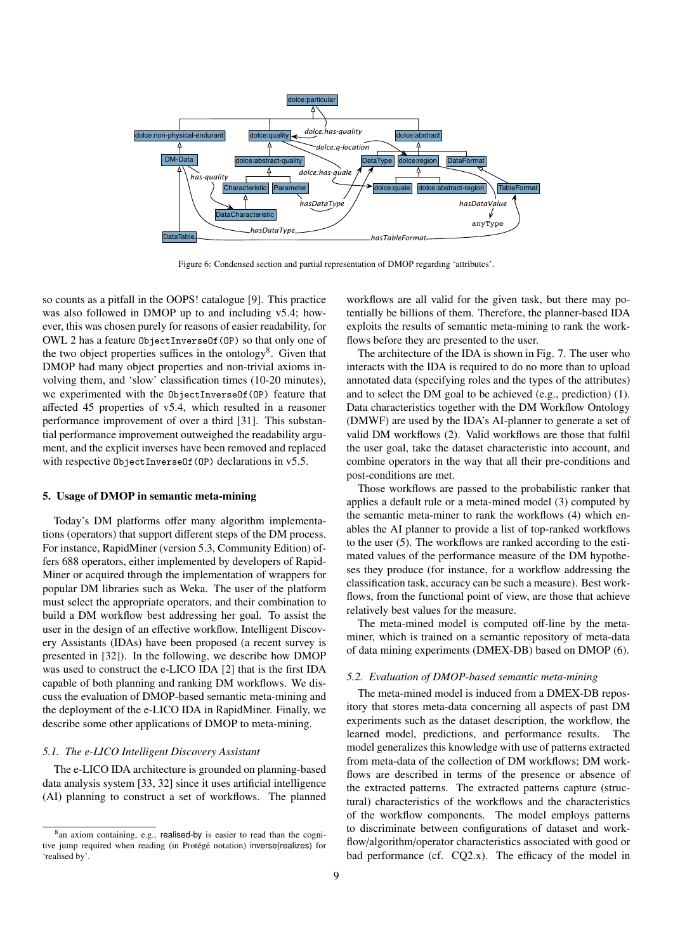

Figure 6: Condensed section and partial representation of DMOP regarding 'attributes'.

so counts as a pitfall in the OOPS! catalogue [9]. This practice was also followed in DMOP up to and including v5.4; however, this was chosen purely for reasons of easier readability, for OWL 2 has a feature ObjectInverseOf(OP) so that only one of the two object properties suffices in the ontology<sup>8</sup>. Given that DMOP had many object properties and non-trivial axioms involving them, and 'slow' classification times (10-20 minutes), we experimented with the ObjectInverseOf(OP) feature that affected 45 properties of v5.4, which resulted in a reasoner performance improvement of over a third [31]. This substantial performance improvement outweighed the readability argument, and the explicit inverses have been removed and replaced with respective ObjectInverseOf(OP) declarations in v5.5.

## 5. Usage of DMOP in semantic meta-mining

Today's DM platforms offer many algorithm implementations (operators) that support different steps of the DM process. For instance, RapidMiner (version 5.3, Community Edition) offers 688 operators, either implemented by developers of Rapid-Miner or acquired through the implementation of wrappers for popular DM libraries such as Weka. The user of the platform must select the appropriate operators, and their combination to build a DM workflow best addressing her goal. To assist the user in the design of an effective workflow, Intelligent Discovery Assistants (IDAs) have been proposed (a recent survey is presented in [32]). In the following, we describe how DMOP was used to construct the e-LICO IDA [2] that is the first IDA capable of both planning and ranking DM workflows. We discuss the evaluation of DMOP-based semantic meta-mining and the deployment of the e-LICO IDA in RapidMiner. Finally, we describe some other applications of DMOP to meta-mining.

## *5.1. The e-LICO Intelligent Discovery Assistant*

The e-LICO IDA architecture is grounded on planning-based data analysis system [33, 32] since it uses artificial intelligence (AI) planning to construct a set of workflows. The planned

workflows are all valid for the given task, but there may potentially be billions of them. Therefore, the planner-based IDA exploits the results of semantic meta-mining to rank the workflows before they are presented to the user.

The architecture of the IDA is shown in Fig. 7. The user who interacts with the IDA is required to do no more than to upload annotated data (specifying roles and the types of the attributes) and to select the DM goal to be achieved (e.g., prediction) (1). Data characteristics together with the DM Workflow Ontology (DMWF) are used by the IDA's AI-planner to generate a set of valid DM workflows (2). Valid workflows are those that fulfil the user goal, take the dataset characteristic into account, and combine operators in the way that all their pre-conditions and post-conditions are met.

Those workflows are passed to the probabilistic ranker that applies a default rule or a meta-mined model (3) computed by the semantic meta-miner to rank the workflows (4) which enables the AI planner to provide a list of top-ranked workflows to the user (5). The workflows are ranked according to the estimated values of the performance measure of the DM hypotheses they produce (for instance, for a workflow addressing the classification task, accuracy can be such a measure). Best workflows, from the functional point of view, are those that achieve relatively best values for the measure.

The meta-mined model is computed off-line by the metaminer, which is trained on a semantic repository of meta-data of data mining experiments (DMEX-DB) based on DMOP (6).

#### *5.2. Evaluation of DMOP-based semantic meta-mining*

The meta-mined model is induced from a DMEX-DB repository that stores meta-data concerning all aspects of past DM experiments such as the dataset description, the workflow, the learned model, predictions, and performance results. The model generalizes this knowledge with use of patterns extracted from meta-data of the collection of DM workflows; DM workflows are described in terms of the presence or absence of the extracted patterns. The extracted patterns capture (structural) characteristics of the workflows and the characteristics of the workflow components. The model employs patterns to discriminate between configurations of dataset and workflow/algorithm/operator characteristics associated with good or bad performance (cf.  $CQ2.x$ ). The efficacy of the model in

<sup>8</sup>an axiom containing, e.g., realised-by is easier to read than the cognitive jump required when reading (in Protégé notation) inverse(realizes) for 'realised by'.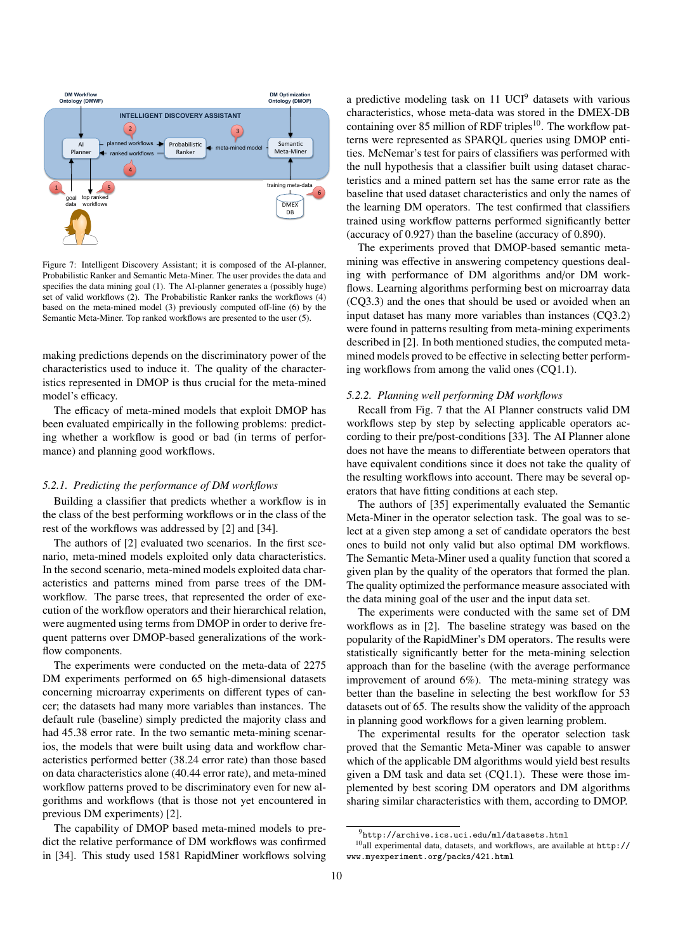

Figure 7: Intelligent Discovery Assistant; it is composed of the AI-planner, Probabilistic Ranker and Semantic Meta-Miner. The user provides the data and specifies the data mining goal (1). The AI-planner generates a (possibly huge) set of valid workflows (2). The Probabilistic Ranker ranks the workflows (4) based on the meta-mined model  $(3)$  previously computed off-line  $(6)$  by the Semantic Meta-Miner. Top ranked workflows are presented to the user (5).

making predictions depends on the discriminatory power of the characteristics used to induce it. The quality of the characteristics represented in DMOP is thus crucial for the meta-mined model's efficacy.

The efficacy of meta-mined models that exploit DMOP has been evaluated empirically in the following problems: predicting whether a workflow is good or bad (in terms of performance) and planning good workflows.

## *5.2.1. Predicting the performance of DM workflows*

Building a classifier that predicts whether a workflow is in the class of the best performing workflows or in the class of the rest of the workflows was addressed by [2] and [34].

The authors of [2] evaluated two scenarios. In the first scenario, meta-mined models exploited only data characteristics. In the second scenario, meta-mined models exploited data characteristics and patterns mined from parse trees of the DMworkflow. The parse trees, that represented the order of execution of the workflow operators and their hierarchical relation, were augmented using terms from DMOP in order to derive frequent patterns over DMOP-based generalizations of the workflow components.

The experiments were conducted on the meta-data of 2275 DM experiments performed on 65 high-dimensional datasets concerning microarray experiments on different types of cancer; the datasets had many more variables than instances. The default rule (baseline) simply predicted the majority class and had 45.38 error rate. In the two semantic meta-mining scenarios, the models that were built using data and workflow characteristics performed better (38.24 error rate) than those based on data characteristics alone (40.44 error rate), and meta-mined workflow patterns proved to be discriminatory even for new algorithms and workflows (that is those not yet encountered in previous DM experiments) [2].

The capability of DMOP based meta-mined models to predict the relative performance of DM workflows was confirmed in [34]. This study used 1581 RapidMiner workflows solving a predictive modeling task on 11 UCI<sup>9</sup> datasets with various characteristics, whose meta-data was stored in the DMEX-DB containing over 85 million of RDF triples<sup>10</sup>. The workflow patterns were represented as SPARQL queries using DMOP entities. McNemar's test for pairs of classifiers was performed with the null hypothesis that a classifier built using dataset characteristics and a mined pattern set has the same error rate as the baseline that used dataset characteristics and only the names of the learning DM operators. The test confirmed that classifiers trained using workflow patterns performed significantly better (accuracy of 0.927) than the baseline (accuracy of 0.890).

The experiments proved that DMOP-based semantic metamining was effective in answering competency questions dealing with performance of DM algorithms and/or DM workflows. Learning algorithms performing best on microarray data (CQ3.3) and the ones that should be used or avoided when an input dataset has many more variables than instances (CQ3.2) were found in patterns resulting from meta-mining experiments described in [2]. In both mentioned studies, the computed metamined models proved to be effective in selecting better performing workflows from among the valid ones (CQ1.1).

#### *5.2.2. Planning well performing DM workflows*

Recall from Fig. 7 that the AI Planner constructs valid DM workflows step by step by selecting applicable operators according to their pre/post-conditions [33]. The AI Planner alone does not have the means to differentiate between operators that have equivalent conditions since it does not take the quality of the resulting workflows into account. There may be several operators that have fitting conditions at each step.

The authors of [35] experimentally evaluated the Semantic Meta-Miner in the operator selection task. The goal was to select at a given step among a set of candidate operators the best ones to build not only valid but also optimal DM workflows. The Semantic Meta-Miner used a quality function that scored a given plan by the quality of the operators that formed the plan. The quality optimized the performance measure associated with the data mining goal of the user and the input data set.

The experiments were conducted with the same set of DM workflows as in [2]. The baseline strategy was based on the popularity of the RapidMiner's DM operators. The results were statistically significantly better for the meta-mining selection approach than for the baseline (with the average performance improvement of around 6%). The meta-mining strategy was better than the baseline in selecting the best workflow for 53 datasets out of 65. The results show the validity of the approach in planning good workflows for a given learning problem.

The experimental results for the operator selection task proved that the Semantic Meta-Miner was capable to answer which of the applicable DM algorithms would yield best results given a DM task and data set (CQ1.1). These were those implemented by best scoring DM operators and DM algorithms sharing similar characteristics with them, according to DMOP.

<sup>9</sup>http://archive.ics.uci.edu/ml/datasets.html

<sup>&</sup>lt;sup>10</sup>all experimental data, datasets, and workflows, are available at http:// www.myexperiment.org/packs/421.html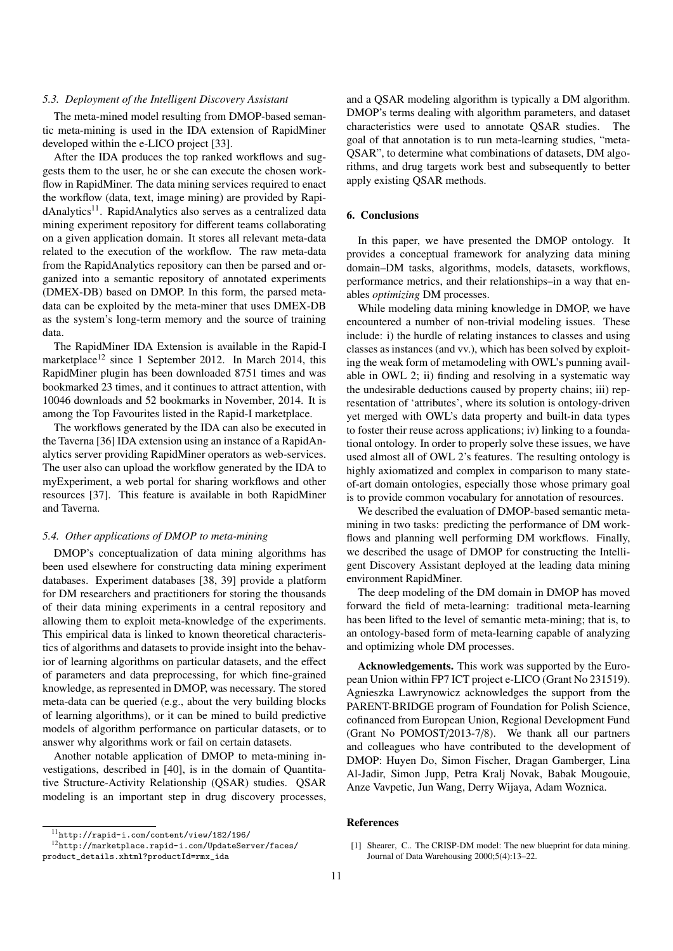#### *5.3. Deployment of the Intelligent Discovery Assistant*

The meta-mined model resulting from DMOP-based semantic meta-mining is used in the IDA extension of RapidMiner developed within the e-LICO project [33].

After the IDA produces the top ranked workflows and suggests them to the user, he or she can execute the chosen workflow in RapidMiner. The data mining services required to enact the workflow (data, text, image mining) are provided by RapidAnalytics<sup>11</sup>. RapidAnalytics also serves as a centralized data mining experiment repository for different teams collaborating on a given application domain. It stores all relevant meta-data related to the execution of the workflow. The raw meta-data from the RapidAnalytics repository can then be parsed and organized into a semantic repository of annotated experiments (DMEX-DB) based on DMOP. In this form, the parsed metadata can be exploited by the meta-miner that uses DMEX-DB as the system's long-term memory and the source of training data.

The RapidMiner IDA Extension is available in the Rapid-I marketplace<sup>12</sup> since 1 September 2012. In March 2014, this RapidMiner plugin has been downloaded 8751 times and was bookmarked 23 times, and it continues to attract attention, with 10046 downloads and 52 bookmarks in November, 2014. It is among the Top Favourites listed in the Rapid-I marketplace.

The workflows generated by the IDA can also be executed in the Taverna [36] IDA extension using an instance of a RapidAnalytics server providing RapidMiner operators as web-services. The user also can upload the workflow generated by the IDA to myExperiment, a web portal for sharing workflows and other resources [37]. This feature is available in both RapidMiner and Taverna.

# *5.4. Other applications of DMOP to meta-mining*

DMOP's conceptualization of data mining algorithms has been used elsewhere for constructing data mining experiment databases. Experiment databases [38, 39] provide a platform for DM researchers and practitioners for storing the thousands of their data mining experiments in a central repository and allowing them to exploit meta-knowledge of the experiments. This empirical data is linked to known theoretical characteristics of algorithms and datasets to provide insight into the behavior of learning algorithms on particular datasets, and the effect of parameters and data preprocessing, for which fine-grained knowledge, as represented in DMOP, was necessary. The stored meta-data can be queried (e.g., about the very building blocks of learning algorithms), or it can be mined to build predictive models of algorithm performance on particular datasets, or to answer why algorithms work or fail on certain datasets.

Another notable application of DMOP to meta-mining investigations, described in [40], is in the domain of Quantitative Structure-Activity Relationship (QSAR) studies. QSAR modeling is an important step in drug discovery processes,

and a QSAR modeling algorithm is typically a DM algorithm. DMOP's terms dealing with algorithm parameters, and dataset characteristics were used to annotate QSAR studies. The goal of that annotation is to run meta-learning studies, "meta-QSAR", to determine what combinations of datasets, DM algorithms, and drug targets work best and subsequently to better apply existing QSAR methods.

# 6. Conclusions

In this paper, we have presented the DMOP ontology. It provides a conceptual framework for analyzing data mining domain–DM tasks, algorithms, models, datasets, workflows, performance metrics, and their relationships–in a way that enables *optimizing* DM processes.

While modeling data mining knowledge in DMOP, we have encountered a number of non-trivial modeling issues. These include: i) the hurdle of relating instances to classes and using classes as instances (and vv.), which has been solved by exploiting the weak form of metamodeling with OWL's punning available in OWL 2; ii) finding and resolving in a systematic way the undesirable deductions caused by property chains; iii) representation of 'attributes', where its solution is ontology-driven yet merged with OWL's data property and built-in data types to foster their reuse across applications; iv) linking to a foundational ontology. In order to properly solve these issues, we have used almost all of OWL 2's features. The resulting ontology is highly axiomatized and complex in comparison to many stateof-art domain ontologies, especially those whose primary goal is to provide common vocabulary for annotation of resources.

We described the evaluation of DMOP-based semantic metamining in two tasks: predicting the performance of DM workflows and planning well performing DM workflows. Finally, we described the usage of DMOP for constructing the Intelligent Discovery Assistant deployed at the leading data mining environment RapidMiner.

The deep modeling of the DM domain in DMOP has moved forward the field of meta-learning: traditional meta-learning has been lifted to the level of semantic meta-mining; that is, to an ontology-based form of meta-learning capable of analyzing and optimizing whole DM processes.

Acknowledgements. This work was supported by the European Union within FP7 ICT project e-LICO (Grant No 231519). Agnieszka Lawrynowicz acknowledges the support from the PARENT-BRIDGE program of Foundation for Polish Science, cofinanced from European Union, Regional Development Fund (Grant No POMOST/2013-7/8). We thank all our partners and colleagues who have contributed to the development of DMOP: Huyen Do, Simon Fischer, Dragan Gamberger, Lina Al-Jadir, Simon Jupp, Petra Kralj Novak, Babak Mougouie, Anze Vavpetic, Jun Wang, Derry Wijaya, Adam Woznica.

#### References

<sup>11</sup>http://rapid-i.com/content/view/182/196/

<sup>12</sup>http://marketplace.rapid-i.com/UpdateServer/faces/ product\_details.xhtml?productId=rmx\_ida

<sup>[1]</sup> Shearer, C.. The CRISP-DM model: The new blueprint for data mining. Journal of Data Warehousing 2000;5(4):13–22.